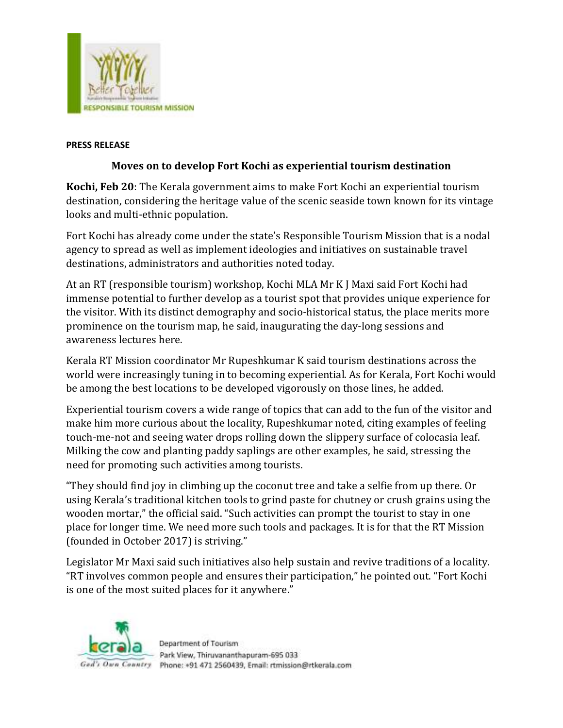

## **PRESS RELEASE**

## **Moves on to develop Fort Kochi as experiential tourism destination**

**Kochi, Feb 20**: The Kerala government aims to make Fort Kochi an experiential tourism destination, considering the heritage value of the scenic seaside town known for its vintage looks and multi-ethnic population.

Fort Kochi has already come under the state's Responsible Tourism Mission that is a nodal agency to spread as well as implement ideologies and initiatives on sustainable travel destinations, administrators and authorities noted today.

At an RT (responsible tourism) workshop, Kochi MLA Mr K J Maxi said Fort Kochi had immense potential to further develop as a tourist spot that provides unique experience for the visitor. With its distinct demography and socio-historical status, the place merits more prominence on the tourism map, he said, inaugurating the day-long sessions and awareness lectures here.

Kerala RT Mission coordinator Mr Rupeshkumar K said tourism destinations across the world were increasingly tuning in to becoming experiential. As for Kerala, Fort Kochi would be among the best locations to be developed vigorously on those lines, he added.

Experiential tourism covers a wide range of topics that can add to the fun of the visitor and make him more curious about the locality, Rupeshkumar noted, citing examples of feeling touch-me-not and seeing water drops rolling down the slippery surface of colocasia leaf. Milking the cow and planting paddy saplings are other examples, he said, stressing the need for promoting such activities among tourists.

"They should find joy in climbing up the coconut tree and take a selfie from up there. Or using Kerala's traditional kitchen tools to grind paste for chutney or crush grains using the wooden mortar," the official said. "Such activities can prompt the tourist to stay in one place for longer time. We need more such tools and packages. It is for that the RT Mission (founded in October 2017) is striving."

Legislator Mr Maxi said such initiatives also help sustain and revive traditions of a locality. "RT involves common people and ensures their participation," he pointed out. "Fort Kochi is one of the most suited places for it anywhere."



Department of Tourism Park View, Thiruvananthapuram-695 033 God's Own Country Phone: +91 471 2560439. Email: rtmission@rtkerala.com